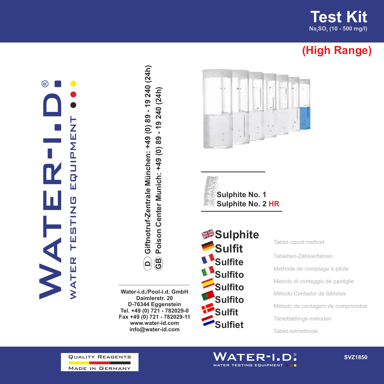**Test Kit Na SO (10 - 500 mg/l) <sup>2</sup> <sup>3</sup>**

## **(High Range)**

## ®ATER-I.D. water testing equipment **INSULTS NHSHS NA** WATER



**Water-i.d./Pool-i.d. GmbH Daimlerstr. 20 D-76344 Eggenstein Tel. +49 (0) 721 - 782029-0 Fax +49 (0) 721 - 782029-11 www.water-id.com**







Tablet-count method Tabletten-Zählverfahren Methode de comptage à pilule Metodo di conteggio de pastiglie Método Contador de tabletas Método de contagem de comprimidos Tablettællings-metoden Tablet-telmethode